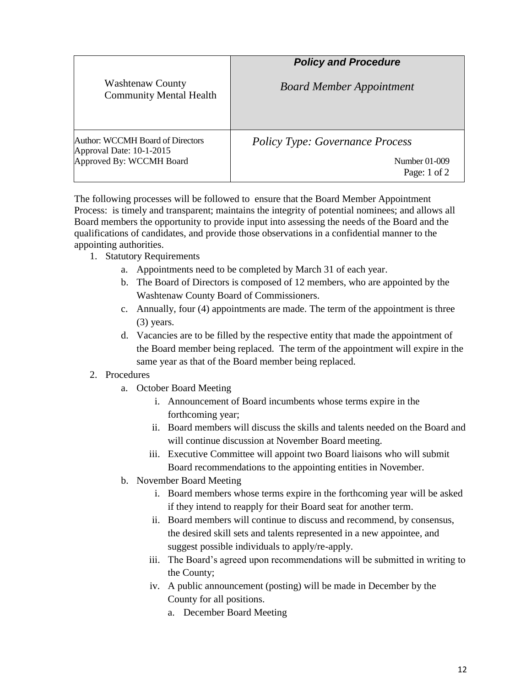|                                                                                          | <b>Policy and Procedure</b>                                             |
|------------------------------------------------------------------------------------------|-------------------------------------------------------------------------|
| <b>Washtenaw County</b><br><b>Community Mental Health</b>                                | <b>Board Member Appointment</b>                                         |
| Author: WCCMH Board of Directors<br>Approval Date: 10-1-2015<br>Approved By: WCCMH Board | <b>Policy Type: Governance Process</b><br>Number 01-009<br>Page: 1 of 2 |

The following processes will be followed to ensure that the Board Member Appointment Process: is timely and transparent; maintains the integrity of potential nominees; and allows all Board members the opportunity to provide input into assessing the needs of the Board and the qualifications of candidates, and provide those observations in a confidential manner to the appointing authorities.

- 1. Statutory Requirements
	- a. Appointments need to be completed by March 31 of each year.
	- b. The Board of Directors is composed of 12 members, who are appointed by the Washtenaw County Board of Commissioners.
	- c. Annually, four (4) appointments are made. The term of the appointment is three (3) years.
	- d. Vacancies are to be filled by the respective entity that made the appointment of the Board member being replaced. The term of the appointment will expire in the same year as that of the Board member being replaced.

## 2. Procedures

- a. October Board Meeting
	- i. Announcement of Board incumbents whose terms expire in the forthcoming year;
	- ii. Board members will discuss the skills and talents needed on the Board and will continue discussion at November Board meeting.
	- iii. Executive Committee will appoint two Board liaisons who will submit Board recommendations to the appointing entities in November.
- b. November Board Meeting
	- i. Board members whose terms expire in the forthcoming year will be asked if they intend to reapply for their Board seat for another term.
	- ii. Board members will continue to discuss and recommend, by consensus, the desired skill sets and talents represented in a new appointee, and suggest possible individuals to apply/re-apply.
	- iii. The Board's agreed upon recommendations will be submitted in writing to the County;
	- iv. A public announcement (posting) will be made in December by the County for all positions.
		- a. December Board Meeting